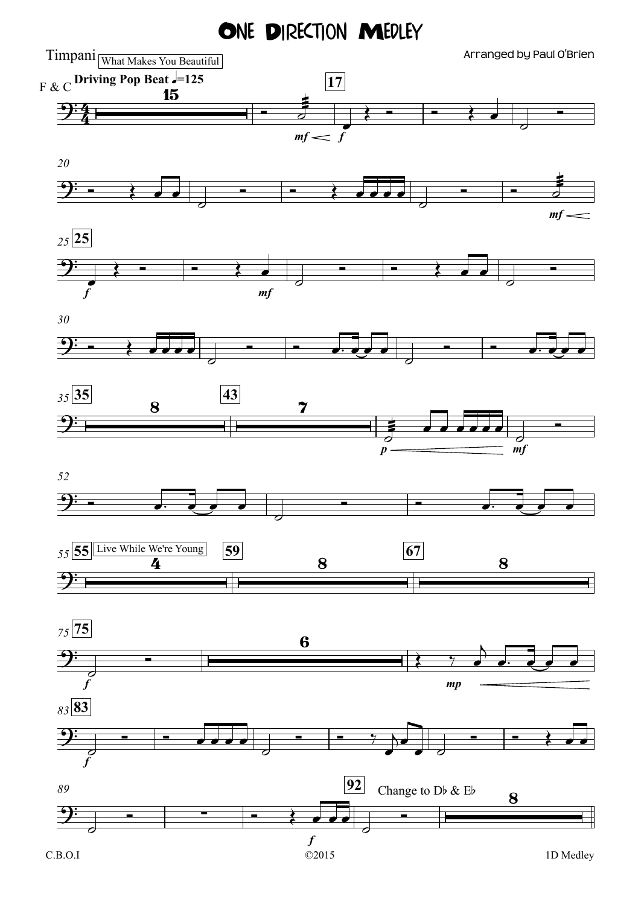## ONE DIRECTION MEDLEY

 $\mathrm{Timpani}_{\overline{\text{What Makes You Beautiful}}\parallel}$  and  $\mathrm{Arranged}$  by Paul O'Brien ©2015  $mf \leq f$ **Driving Pop Beat**  $\sqrt{=}125$  **17** *mf 20 f mf <sup>25</sup>* **25** *30 p mf <sup>35</sup>* **35 43** *52 <sup>55</sup>* **55 59 67** Live While We're Young *f mp <sup>75</sup>* **75** *f <sup>83</sup>* **83** *f <sup>89</sup>* **92** 4 <sup>4</sup> ?  $F & C$  Diving r op Beat  $\epsilon$ -125  $\overline{\mathbf{P}}$  $9:$   $\longrightarrow$   $\longrightarrow$  $9:$   $\longrightarrow$  $\Theta$ :  $\frac{43}{7}$  $\Theta$ :  $\Theta$ :  $\frac{1}{4}$  8 8 8  $\Theta$ : 6  $\Theta$ :  $\overline{P}$  Change to Db & Eb 8 <sup>Ó</sup> <sup>æ</sup>˙  $\frac{1}{\epsilon}$ Œ Ó Ó Œ œ  $\overline{\phantom{a}}$ <u>o</u>  $\longrightarrow$ ˙ <del>Ó Ó Ó Ó Ó Ó Ó</del> ˙  $\frac{1}{\sqrt{2}}$  $\frac{1}{\epsilon}$  $\leftarrow$ ˙  $\overrightarrow{c}$ ˙ <u>o</u>  $\longrightarrow$   $\longrightarrow$   $\longrightarrow$   $\longrightarrow$   $\longrightarrow$   $\longrightarrow$  $\overline{\phantom{a}}$ <del></del>  $\overline{\phantom{a}}$ <del>∟</del>  $\frac{1}{\sigma}$ œ œ œ œ œ œ  $\overline{\sigma}$ <u>o</u> Ó œ™ œ œ œ  $\overline{\phantom{a}}$ <del>Ò</del> <del>de la companya de la companya de la companya de la companya de la companya de la companya de la companya del</del>  $\frac{1}{c}$ Ó Œ ‰ œ  $\overline{\phantom{0}}$ œ™ œ œ œ  $\frac{1}{c}$ <u>e de la companya de la compa</u>  $\overline{\phantom{a}}$  $\overline{\phantom{a}}$   $\overline{\phantom{a}}$   $\overline{\phantom{a}}$   $\overline{\phantom{a}}$  $\frac{\partial}{\partial x}$ j œ  $\begin{array}{c} \bullet \end{array}$  $\begin{array}{c|c|c|c|c|c} \hline \textbf{---} & \textbf{---} & \textbf{---} & \textbf{---} \end{array}$  $\overline{\partial}$ <del>∟</del>  $\overline{\phantom{a}}$  $\blacksquare$ C.B.O.I 1D Medley